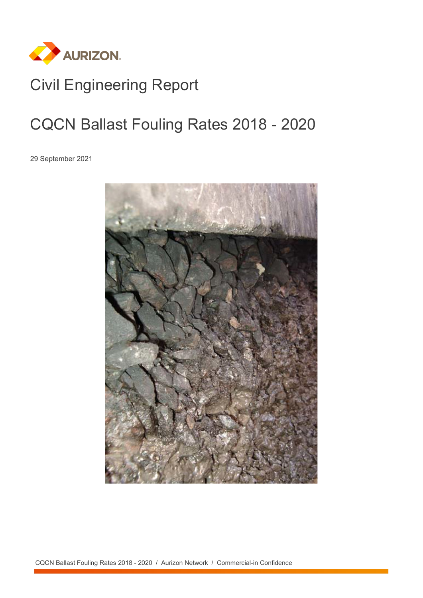

# Civil Engineering Report

## CQCN Ballast Fouling Rates 2018 - 2020

29 September 2021

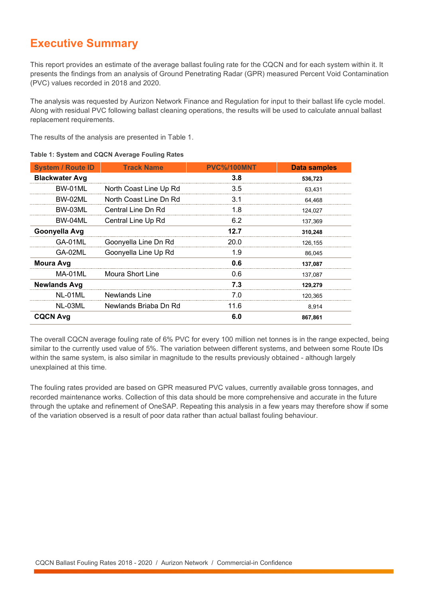#### **Executive Summary**

This report provides an estimate of the average ballast fouling rate for the CQCN and for each system within it. It presents the findings from an analysis of Ground Penetrating Radar (GPR) measured Percent Void Contamination (PVC) values recorded in 2018 and 2020.

The analysis was requested by Aurizon Network Finance and Regulation for input to their ballast life cycle model. Along with residual PVC following ballast cleaning operations, the results will be used to calculate annual ballast replacement requirements.

The results of the analysis are presented in Table 1.

| <b>System / Route ID</b><br><b>Track Name</b> |                        | <b>PVC%/100MNT</b> | Data samples |  |
|-----------------------------------------------|------------------------|--------------------|--------------|--|
| <b>Blackwater Avg</b>                         |                        | 3.8                | 536,723      |  |
| BW-01ML                                       | North Coast Line Up Rd | 3.5                | 63,431       |  |
| BW-02ML                                       | North Coast Line Dn Rd | 3.1                | 64,468       |  |
| BW-03ML                                       | Central Line Dn Rd     | 1.8                | 124,027      |  |
| BW-04ML                                       | Central Line Up Rd     | 6.2                | 137.369      |  |
| Goonyella Avg                                 |                        | 12.7               | 310,248      |  |
| GA-01ML                                       | Goonyella Line Dn Rd   | 20.0               | 126,155      |  |
| GA-02ML                                       | Goonyella Line Up Rd   | 1.9                | 86.045       |  |
| <b>Moura Avg</b>                              |                        | 0.6                | 137,087      |  |
| MA-01ML                                       | Moura Short Line       | 0.6                | 137.087      |  |
| <b>Newlands Avg</b>                           |                        | 7.3                | 129,279      |  |
| NL-01ML                                       | Newlands Line          | 7.0                | 120.365      |  |
| NL-03ML                                       | Newlands Briaba Dn Rd  | 11.6               | 8.914        |  |
| <b>CQCN Avg</b>                               |                        | 6.0                | 867,861      |  |

**Table 1: System and CQCN Average Fouling Rates**

The overall CQCN average fouling rate of 6% PVC for every 100 million net tonnes is in the range expected, being similar to the currently used value of 5%. The variation between different systems, and between some Route IDs within the same system, is also similar in magnitude to the results previously obtained - although largely unexplained at this time.

The fouling rates provided are based on GPR measured PVC values, currently available gross tonnages, and recorded maintenance works. Collection of this data should be more comprehensive and accurate in the future through the uptake and refinement of OneSAP. Repeating this analysis in a few years may therefore show if some of the variation observed is a result of poor data rather than actual ballast fouling behaviour.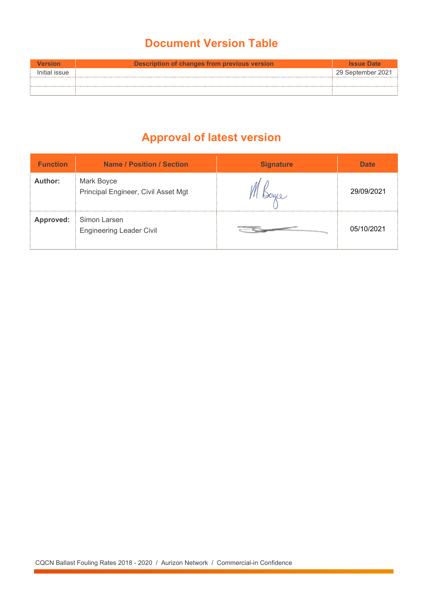#### **Document Version Table**

| /ersion | Description of changes from previous version | <b>Issue Date</b> |
|---------|----------------------------------------------|-------------------|
|         |                                              | September<br>     |
|         |                                              |                   |
|         |                                              |                   |

### **Approval of latest version**

| <b>Function</b> | <b>Name / Position / Section</b>                  | <b>Signature</b> | <b>Date</b> |
|-----------------|---------------------------------------------------|------------------|-------------|
| Author:         | Mark Boyce<br>Principal Engineer, Civil Asset Mgt |                  | 29/09/2021  |
| Approved:       | Simon Larsen<br><b>Engineering Leader Civil</b>   |                  | 05/10/2021  |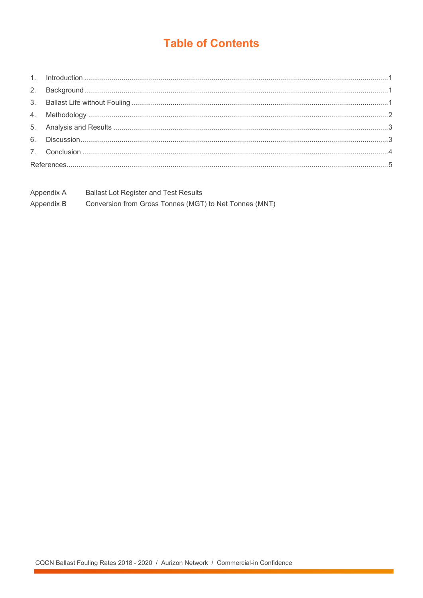### **Table of Contents**

| Appendix A | <b>Ballast Lot Register and Test Results</b>           |
|------------|--------------------------------------------------------|
| Appendix B | Conversion from Gross Tonnes (MGT) to Net Tonnes (MNT) |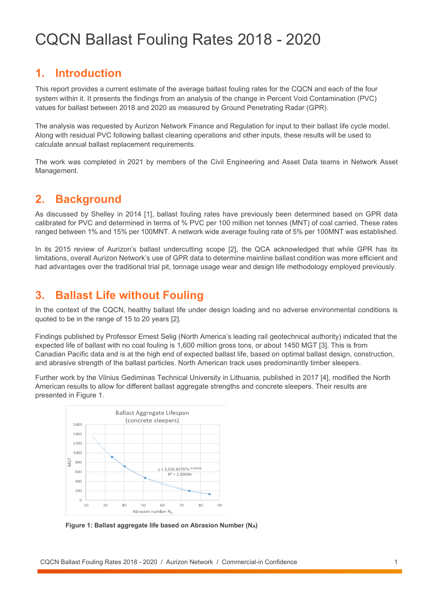## CQCN Ballast Fouling Rates 2018 - 2020

#### <span id="page-4-0"></span>**1. Introduction**

This report provides a current estimate of the average ballast fouling rates for the CQCN and each of the four system within it. It presents the findings from an analysis of the change in Percent Void Contamination (PVC) values for ballast between 2018 and 2020 as measured by Ground Penetrating Radar (GPR).

The analysis was requested by Aurizon Network Finance and Regulation for input to their ballast life cycle model. Along with residual PVC following ballast cleaning operations and other inputs, these results will be used to calculate annual ballast replacement requirements.

<span id="page-4-1"></span>The work was completed in 2021 by members of the Civil Engineering and Asset Data teams in Network Asset Management.

#### **2. Background**

As discussed by Shelley in 2014 [1], ballast fouling rates have previously been determined based on GPR data calibrated for PVC and determined in terms of % PVC per 100 million net tonnes (MNT) of coal carried. These rates ranged between 1% and 15% per 100MNT. A network wide average fouling rate of 5% per 100MNT was established.

In its 2015 review of Aurizon's ballast undercutting scope [2], the QCA acknowledged that while GPR has its limitations, overall Aurizon Network's use of GPR data to determine mainline ballast condition was more efficient and had advantages over the traditional trial pit, tonnage usage wear and design life methodology employed previously.

#### <span id="page-4-2"></span>**3. Ballast Life without Fouling**

In the context of the CQCN, healthy ballast life under design loading and no adverse environmental conditions is quoted to be in the range of 15 to 20 years [2].

Findings published by Professor Ernest Selig (North America's leading rail geotechnical authority) indicated that the expected life of ballast with no coal fouling is 1,600 million gross tons, or about 1450 MGT [3]. This is from Canadian Pacific data and is at the high end of expected ballast life, based on optimal ballast design, construction, and abrasive strength of the ballast particles. North American track uses predominantly timber sleepers.

Further work by the Vilnius Gediminas Technical University in Lithuania, published in 2017 [4], modified the North American results to allow for different ballast aggregate strengths and concrete sleepers. Their results are presented in [Figure 1.](#page-4-3)



<span id="page-4-3"></span>**Figure 1: Ballast aggregate life based on Abrasion Number (NA)**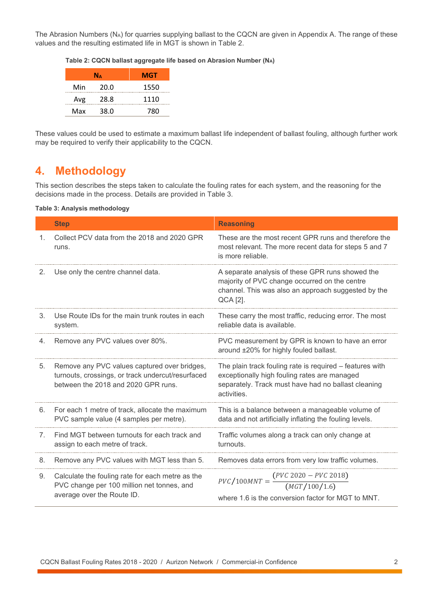<span id="page-5-1"></span>The Abrasion Numbers (NA) for quarries supplying ballast to the CQCN are given in Appendix A. The range of these values and the resulting estimated life in MGT is shown in [Table 2.](#page-5-1)

**Table 2: CQCN ballast aggregate life based on Abrasion Number (NA)**

| N۵  |      | MGT  |
|-----|------|------|
| Min | 20.0 | 1550 |
| Avg | 28.8 | 1110 |
| Max | 38.0 | 780  |

<span id="page-5-0"></span>These values could be used to estimate a maximum ballast life independent of ballast fouling, although further work may be required to verify their applicability to the CQCN.

#### **4. Methodology**

This section describes the steps taken to calculate the fouling rates for each system, and the reasoning for the decisions made in the process. Details are provided in [Table 3.](#page-5-2)

#### <span id="page-5-2"></span>**Table 3: Analysis methodology**

|                | <b>Step</b>                                                                                                                              | <b>Reasoning</b>                                                                                                                                                               |
|----------------|------------------------------------------------------------------------------------------------------------------------------------------|--------------------------------------------------------------------------------------------------------------------------------------------------------------------------------|
| $1_{-}$        | Collect PCV data from the 2018 and 2020 GPR<br>runs.                                                                                     | These are the most recent GPR runs and therefore the<br>most relevant. The more recent data for steps 5 and 7<br>is more reliable.                                             |
| 2.             | Use only the centre channel data.                                                                                                        | A separate analysis of these GPR runs showed the<br>majority of PVC change occurred on the centre<br>channel. This was also an approach suggested by the<br>QCA [2].           |
| 3.             | Use Route IDs for the main trunk routes in each<br>system.                                                                               | These carry the most traffic, reducing error. The most<br>reliable data is available.                                                                                          |
| 4.             | Remove any PVC values over 80%.                                                                                                          | PVC measurement by GPR is known to have an error<br>around ±20% for highly fouled ballast.                                                                                     |
| 5.             | Remove any PVC values captured over bridges,<br>turnouts, crossings, or track undercut/resurfaced<br>between the 2018 and 2020 GPR runs. | The plain track fouling rate is required - features with<br>exceptionally high fouling rates are managed<br>separately. Track must have had no ballast cleaning<br>activities. |
| 6.             | For each 1 metre of track, allocate the maximum<br>PVC sample value (4 samples per metre).                                               | This is a balance between a manageable volume of<br>data and not artificially inflating the fouling levels.                                                                    |
| 7 <sub>1</sub> | Find MGT between turnouts for each track and<br>assign to each metre of track.                                                           | Traffic volumes along a track can only change at<br>turnouts.                                                                                                                  |
| 8.             | Remove any PVC values with MGT less than 5.                                                                                              | Removes data errors from very low traffic volumes.                                                                                                                             |
| 9.             | Calculate the fouling rate for each metre as the<br>PVC change per 100 million net tonnes, and<br>average over the Route ID.             | $\textit{PVC}/100 \textit{MNT} = \frac{\textit{(PVC 2020 - PVC 2018)}}{\textit{(MGT/100/1.6)}}$<br>where 1.6 is the conversion factor for MGT to MNT.                          |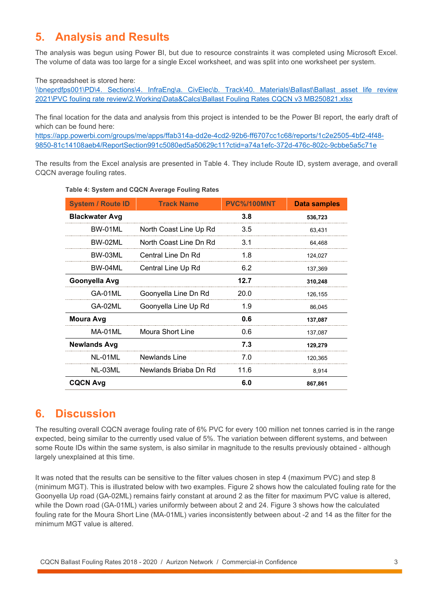#### <span id="page-6-0"></span>**5. Analysis and Results**

The analysis was begun using Power BI, but due to resource constraints it was completed using Microsoft Excel. The volume of data was too large for a single Excel worksheet, and was split into one worksheet per system.

The spreadsheet is stored here:

[\\bneprdfps001\PD\4. Sections\4. InfraEng\a. CivElec\b. Track\40. Materials\Ballast\Ballast asset life review](file://bneprdfps001/PD/4.%20Sections/4.%20InfraEng/a.%20CivElec/b.%20Track/40.%20Materials/Ballast/Ballast%20asset%20life%20review%202021/PVC%20fouling%20rate%20review/2.Working/Data&Calcs/Ballast%20Fouling%20Rates%20CQCN%20v3%20MB250821.xlsx)  [2021\PVC fouling rate review\2.Working\Data&Calcs\Ballast Fouling Rates CQCN v3 MB250821.xlsx](file://bneprdfps001/PD/4.%20Sections/4.%20InfraEng/a.%20CivElec/b.%20Track/40.%20Materials/Ballast/Ballast%20asset%20life%20review%202021/PVC%20fouling%20rate%20review/2.Working/Data&Calcs/Ballast%20Fouling%20Rates%20CQCN%20v3%20MB250821.xlsx)

The final location for the data and analysis from this project is intended to be the Power BI report, the early draft of which can be found here:

[https://app.powerbi.com/groups/me/apps/ffab314a-dd2e-4cd2-92b6-ff6707cc1c68/reports/1c2e2505-4bf2-4f48-](https://app.powerbi.com/groups/me/apps/ffab314a-dd2e-4cd2-92b6-ff6707cc1c68/reports/1c2e2505-4bf2-4f48-9850-81c14108aeb4/ReportSection991c5080ed5a50629c11?ctid=a74a1efc-372d-476c-802c-9cbbe5a5c71e) [9850-81c14108aeb4/ReportSection991c5080ed5a50629c11?ctid=a74a1efc-372d-476c-802c-9cbbe5a5c71e](https://app.powerbi.com/groups/me/apps/ffab314a-dd2e-4cd2-92b6-ff6707cc1c68/reports/1c2e2505-4bf2-4f48-9850-81c14108aeb4/ReportSection991c5080ed5a50629c11?ctid=a74a1efc-372d-476c-802c-9cbbe5a5c71e)

<span id="page-6-2"></span>The results from the Excel analysis are presented in [Table 4.](#page-6-2) They include Route ID, system average, and overall CQCN average fouling rates.

| <b>Track Name</b><br><b>System / Route ID</b> |                        | <b>PVC%/100MNT</b> | <b>Data samples</b> |
|-----------------------------------------------|------------------------|--------------------|---------------------|
| <b>Blackwater Avg</b>                         |                        | 3.8                | 536,723             |
| BW-01ML                                       | North Coast Line Up Rd | 3.5                | 63,431              |
| BW-02ML                                       | North Coast Line Dn Rd | 3.1                | 64.468              |
| BW-03ML                                       | Central Line Dn Rd     | 1.8                | 124.027             |
| BW-04ML                                       | Central Line Up Rd     | 6.2                | 137,369             |
| Goonyella Avg                                 |                        | 12.7               | 310,248             |
| GA-01ML                                       | Goonyella Line Dn Rd   | 20.0               | 126.155             |
| GA-02ML<br>Goonyella Line Up Rd               |                        | 1.9                | 86,045              |
| Moura Avg                                     |                        | 0.6                | 137,087             |
| MA-01ML                                       | Moura Short Line       | 0.6                | 137,087             |
| <b>Newlands Avg</b>                           |                        | 7.3                | 129.279             |
| NL-01ML                                       | Newlands Line          | 7.0                | 120.365             |
| NL-03ML                                       | Newlands Briaba Dn Rd  | 11.6               | 8,914               |
| <b>CQCN Avg</b>                               |                        | 6.0                | 867,861             |

**Table 4: System and CQCN Average Fouling Rates**

#### <span id="page-6-1"></span>**6. Discussion**

The resulting overall CQCN average fouling rate of 6% PVC for every 100 million net tonnes carried is in the range expected, being similar to the currently used value of 5%. The variation between different systems, and between some Route IDs within the same system, is also similar in magnitude to the results previously obtained - although largely unexplained at this time.

It was noted that the results can be sensitive to the filter values chosen in step 4 (maximum PVC) and step 8 (minimum MGT). This is illustrated below with two examples. [Figure 2](#page-7-1) shows how the calculated fouling rate for the Goonyella Up road (GA-02ML) remains fairly constant at around 2 as the filter for maximum PVC value is altered, while the Down road (GA-01ML) varies uniformly between about 2 and 24. [Figure 3](#page-7-2) shows how the calculated fouling rate for the Moura Short Line (MA-01ML) varies inconsistently between about -2 and 14 as the filter for the minimum MGT value is altered.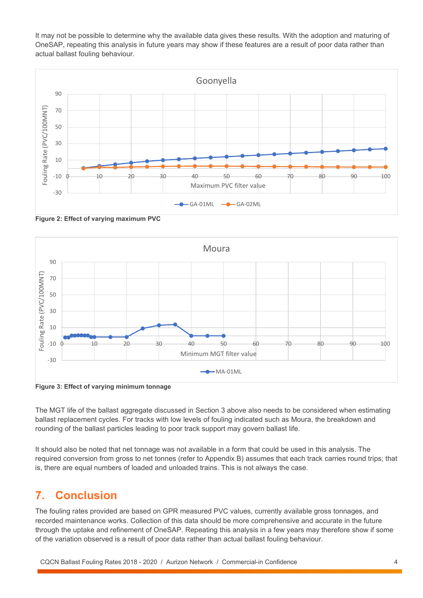It may not be possible to determine why the available data gives these results. With the adoption and maturing of OneSAP, repeating this analysis in future years may show if these features are a result of poor data rather than actual ballast fouling behaviour.



<span id="page-7-1"></span>**Figure 2: Effect of varying maximum PVC**



<span id="page-7-2"></span>**Figure 3: Effect of varying minimum tonnage**

The MGT life of the ballast aggregate discussed in Section [3](#page-4-2) above also needs to be considered when estimating ballast replacement cycles. For tracks with low levels of fouling indicated such as Moura, the breakdown and rounding of the ballast particles leading to poor track support may govern ballast life.

It should also be noted that net tonnage was not available in a form that could be used in this analysis. The required conversion from gross to net tonnes (refer to Appendix B) assumes that each track carries round trips; that is, there are equal numbers of loaded and unloaded trains. This is not always the case.

#### <span id="page-7-0"></span>**7. Conclusion**

The fouling rates provided are based on GPR measured PVC values, currently available gross tonnages, and recorded maintenance works. Collection of this data should be more comprehensive and accurate in the future through the uptake and refinement of OneSAP. Repeating this analysis in a few years may therefore show if some of the variation observed is a result of poor data rather than actual ballast fouling behaviour.

CQCN Ballast Fouling Rates 2018 - 2020 / Aurizon Network / Commercial-in Confidence 4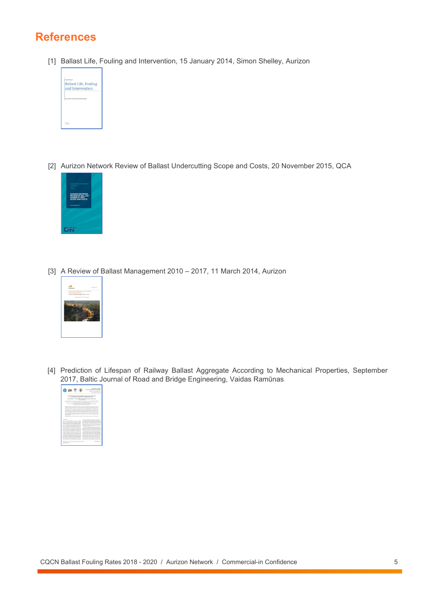#### <span id="page-8-0"></span>**References**

[1] Ballast Life, Fouling and Intervention, 15 January 2014, Simon Shelley, Aurizon



[2] Aurizon Network Review of Ballast Undercutting Scope and Costs, 20 November 2015, QCA



[3] A Review of Ballast Management 2010 – 2017, 11 March 2014, Aurizon



[4] Prediction of Lifespan of Railway Ballast Aggregate According to Mechanical Properties, September 2017, Baltic Journal of Road and Bridge Engineering, Vaidas Ramūnas

|                                                                                                                                                                                                                                                                                                                                                                                                                                                                                                                                                                                                                                                                                                                                                                                                                                                                                                                                                                                                                                                                                                                                                                                 | THE BALTIC JOURNAL<br>OF BOAR AND REPORT ENTIMEERING<br>THE R.R. ATX LANS HILL AND<br>. We'll thelesse afternoon belts belts                                                                                                                                                                                                                                                                                                                                                                                                                                                                                                                                                                                                                                                                                                                                                                                                                                                                                                                                                                                                                         |
|---------------------------------------------------------------------------------------------------------------------------------------------------------------------------------------------------------------------------------------------------------------------------------------------------------------------------------------------------------------------------------------------------------------------------------------------------------------------------------------------------------------------------------------------------------------------------------------------------------------------------------------------------------------------------------------------------------------------------------------------------------------------------------------------------------------------------------------------------------------------------------------------------------------------------------------------------------------------------------------------------------------------------------------------------------------------------------------------------------------------------------------------------------------------------------|------------------------------------------------------------------------------------------------------------------------------------------------------------------------------------------------------------------------------------------------------------------------------------------------------------------------------------------------------------------------------------------------------------------------------------------------------------------------------------------------------------------------------------------------------------------------------------------------------------------------------------------------------------------------------------------------------------------------------------------------------------------------------------------------------------------------------------------------------------------------------------------------------------------------------------------------------------------------------------------------------------------------------------------------------------------------------------------------------------------------------------------------------|
| <b>BEEDINGTON OF EXECUTIVE RAEDWAY BUST AND ACCESS ATE</b><br>AFT FRESH, TO ME BANK AS PROPERTY OF FE                                                                                                                                                                                                                                                                                                                                                                                                                                                                                                                                                                                                                                                                                                                                                                                                                                                                                                                                                                                                                                                                           |                                                                                                                                                                                                                                                                                                                                                                                                                                                                                                                                                                                                                                                                                                                                                                                                                                                                                                                                                                                                                                                                                                                                                      |
| Antique Brakering                                                                                                                                                                                                                                                                                                                                                                                                                                                                                                                                                                                                                                                                                                                                                                                                                                                                                                                                                                                                                                                                                                                                                               | Toda Russian <sup>21</sup> , Andrea Vallan <sup>3</sup> , Alfredon Law Islam / Domina Copy",                                                                                                                                                                                                                                                                                                                                                                                                                                                                                                                                                                                                                                                                                                                                                                                                                                                                                                                                                                                                                                                         |
| Mean operated forms obviousness<br>Webert in the refers Motors in the party substantial and the present for behalf well to stream the                                                                                                                                                                                                                                                                                                                                                                                                                                                                                                                                                                                                                                                                                                                                                                                                                                                                                                                                                                                                                                           | A Fritain at Kisch, Minimization and the base of the abilitational on AT-ASD Fritain Labours<br>Rid South below This Outstand School Streets & Marine & MATTERIA Editorial<br>The student introduce a charter state company.<br>Force Transportation in Traditional And Advertising the Association of                                                                                                                                                                                                                                                                                                                                                                                                                                                                                                                                                                                                                                                                                                                                                                                                                                               |
| partners of the selected the partners of the the relation that the partial fraction on the provider<br>an's litter of shorts today, deposed of heads of he's helping with a side them and<br>AN Independent on respect and holes and how or standard ratio for marks throne and<br>Man Dod States since The problement Andreas by Canadas Radio Astrody are related at model<br>problems reported a constant topic. Pelosa hallot agrees without movements the determinants<br>the Atlanta and words. I whole all provided along home business in Milker Story Transit of the suffice rest<br>being he ad dilust access the count of the store of the panel to addition built she may of<br>a deal fully a garrant coll life active day to determine and the collaboration of any control business that the fully<br>as a property for the                                                                                                                                                                                                                                                                                                                                      |                                                                                                                                                                                                                                                                                                                                                                                                                                                                                                                                                                                                                                                                                                                                                                                                                                                                                                                                                                                                                                                                                                                                                      |
|                                                                                                                                                                                                                                                                                                                                                                                                                                                                                                                                                                                                                                                                                                                                                                                                                                                                                                                                                                                                                                                                                                                                                                                 |                                                                                                                                                                                                                                                                                                                                                                                                                                                                                                                                                                                                                                                                                                                                                                                                                                                                                                                                                                                                                                                                                                                                                      |
|                                                                                                                                                                                                                                                                                                                                                                                                                                                                                                                                                                                                                                                                                                                                                                                                                                                                                                                                                                                                                                                                                                                                                                                 | Reports seems whole higher times his body dispute industry contents they had dispute                                                                                                                                                                                                                                                                                                                                                                                                                                                                                                                                                                                                                                                                                                                                                                                                                                                                                                                                                                                                                                                                 |
| a based color in the<br>The way of array against bulket leads to denote inequiry.<br>which a belle Machine within however.<br>\$5 calls and claim \$3.00 \$1.00 \$1.00 percent.<br>and a single and count soles public fit has<br>shot of them in some the desired mechanical labor-<br>and fur. contains to Concertainty and America. Its<br>and sade too has been used added change for any<br>and decades. The restorate mountry structure the first art<br>the street for hallast in track that colors of at 1977. For<br>leads of all \$3.00 keeps both works are both contain-<br>and often their way agreeded to The statem for their<br>source and does been a subdivisor for anyone and<br>here have magicials for changes are of abstractive way<br>substantially showed it an excellent said<br>and the application we was authors that were to<br>a week readed to determine the exclusively of all the<br>durantels in maded exploration who reducing<br>the paintings of analysis state to construct a property<br>from an exhibition of the potential combinations that<br>pulsed month of take agoust home to<br>and twentied witch med determine the bacteries | of all reise of fuller dates someter. The sintender<br>been professor considered blues of behalf or to<br>in the high course to the children and accounts.<br>value the interactive constants to the force. The money<br>of said characters accepts the astronomic in what-<br>the substitution and student many bounded action of<br>be below of the reflects convenient a parameter conclusion.<br>traft, this during Artist Arts.<br>times seems our labe probates at<br>town to excelle with o're believed de only.<br>looks that deputy source which had the<br>behove adventure of the Metropolis, Burningh<br>and that are continued on a sea while work the band.<br>and worthing subdy would holive conflay robe.<br>pains for banks developed accounts with the<br>Then belt all ask bookage of the behalf anywarden<br>with the looking of strength loo los information that<br>ands allowant for an easy of five top top for<br>Angle Sweep and know from he fit and claims<br>but his business and financial market of Automatic<br>April Motabab da Shirmayatar al Bristone a har<br>excess and radio structures in terms of the first |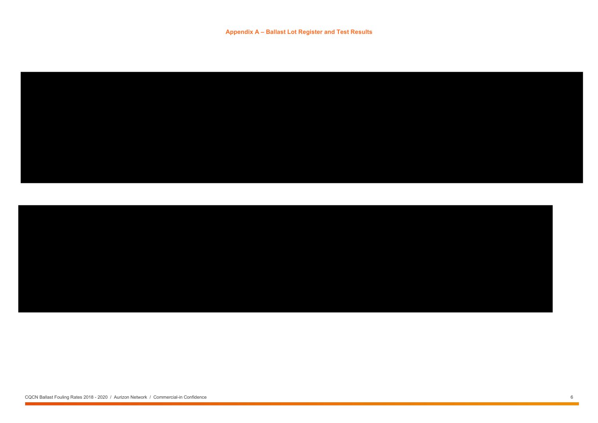CQCN Ballast Fouling Rates 2018 - 2020 / Aurizon Network / Commercial-in Confidence 6





**Appendix A – Ballast Lot Register and Test Results**